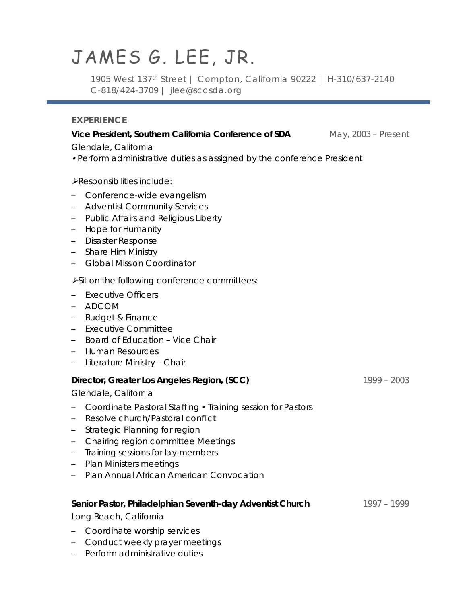# JAMES G. LEE, JR.

1905 West 137th Street | Compton, California 90222 | H-310/637-2140 C-818/424-3709 | jlee@sccsda.org

## **EXPERIENCE**

## **Vice President, Southern California Conference of SDA** May, 2003 – Present

*Glendale, California*

- *Perform administrative duties as assigned by the conference President*
- *Responsibilities include:*
- Conference-wide evangelism
- Adventist Community Services
- Public Affairs and Religious Liberty
- Hope for Humanity
- Disaster Response
- Share Him Ministry
- Global Mission Coordinator

#### *Sit on the following conference committees:*

- Executive Officers
- ADCOM
- Budget & Finance
- Executive Committee
- Board of Education Vice Chair
- Human Resources
- Literature Ministry Chair

## **Director, Greater Los Angeles Region, (SCC)** 1999 – 2003

*Glendale, California*

- Coordinate Pastoral Staffing Training session for Pastors
- Resolve church/Pastoral conflict
- Strategic Planning for region
- Chairing region committee Meetings
- Training sessions for lay-members
- Plan Ministers meetings
- Plan Annual African American Convocation

#### **Senior Pastor, Philadelphian Seventh-day Adventist Church** 1997 – 1999

*Long Beach, California*

- Coordinate worship services
- Conduct weekly prayer meetings
- Perform administrative duties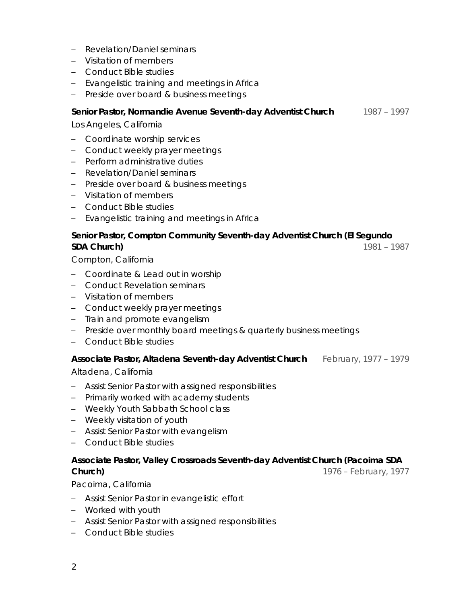- Revelation/Daniel seminars
- Visitation of members
- Conduct Bible studies
- Evangelistic training and meetings in Africa
- Preside over board & business meetings

## **Senior Pastor, Normandie Avenue Seventh-day Adventist Church** 1987 – 1997

*Los Angeles, California*

- Coordinate worship services
- Conduct weekly prayer meetings
- Perform administrative duties
- Revelation/Daniel seminars
- Preside over board & business meetings
- Visitation of members
- Conduct Bible studies
- Evangelistic training and meetings in Africa

## **Senior Pastor, Compton Community Seventh-day Adventist Church (El Segundo SDA Church)** 1981 – 1987

*Compton, California*

- Coordinate & Lead out in worship
- Conduct Revelation seminars
- Visitation of members
- Conduct weekly prayer meetings
- Train and promote evangelism
- Preside over monthly board meetings & quarterly business meetings
- Conduct Bible studies

## **Associate Pastor, Altadena Seventh-day Adventist Church** February, 1977 – 1979

## *Altadena, California*

- Assist Senior Pastor with assigned responsibilities
- Primarily worked with academy students
- Weekly Youth Sabbath School class
- Weekly visitation of youth
- Assist Senior Pastor with evangelism
- Conduct Bible studies

#### **Associate Pastor, Valley Crossroads Seventh-day Adventist Church (Pacoima SDA Church) 1976** – February, 1977

## *Pacoima, California*

- Assist Senior Pastor in evangelistic effort
- Worked with youth
- Assist Senior Pastor with assigned responsibilities
- Conduct Bible studies